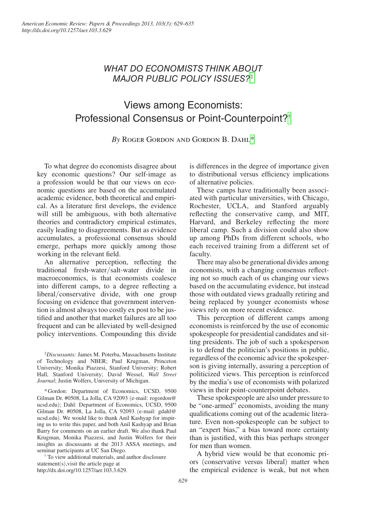## *What Do Economists Think about Major Public Policy Issues?*‡

# Views among Economists: Professional Consensus or Point-Counterpoint?[†](#page-0-0)

### *By* Roger Gordon and Gordon B. Dahl[\\*](#page-0-1)

To what degree do economists disagree about key economic questions? Our self-image as a profession would be that our views on economic questions are based on the accumulated academic evidence, both theoretical and empirical. As a literature first develops, the evidence will still be ambiguous, with both alternative theories and contradictory empirical estimates, easily leading to disagreements. But as evidence accumulates, a professional consensus should emerge, perhaps more quickly among those working in the relevant field.

An alternative perception, reflecting the traditional fresh-water/salt-water divide in macroeconomics, is that economists coalesce into different camps, to a degree reflecting a liberal/conservative divide, with one group focusing on evidence that government intervention is almost always too costly ex post to be justified and another that market failures are all too frequent and can be alleviated by well-designed policy interventions. Compounding this divide

‡ *Discussants:* James M. Poterba, Massachusetts Institute of Technology and NBER; Paul Krugman, Princeton University; Monika Piazzesi, Stanford University; Robert Hall, Stanford University; David Wessel, *Wall Street Journal*; Justin Wolfers, University of Michigan.

<span id="page-0-1"></span>\*Gordon: Department of Economics, UCSD, 9500 Gilman Dr. #0508, La Jolla, CA 92093 (e-mail: [rogordon@](mailto:rogordon@ucsd.edu) [ucsd.edu](mailto:rogordon@ucsd.edu)); Dahl: Department of Economics, UCSD, 9500 Gilman Dr. #0508, La Jolla, CA 92093 (e-mail: [gdahl@](mailto:gdahl@ucsd.edu) [ucsd.edu](mailto:gdahl@ucsd.edu)). We would like to thank Anil Kashyap for inspiring us to write this paper, and both Anil Kashyap and Brian Barry for comments on an earlier draft. We also thank Paul Krugman, Monika Piazzesi, and Justin Wolfers for their insights as discussants at the 2013 ASSA meetings, and seminar participants at UC San Diego.

<span id="page-0-0"></span>† To view additional materials, and author disclosure statement(s),visit the article page at [http://dx.doi.org/10.1257/aer.103.3.629.](http://dx.doi.org/10.1257/aer.103.3.629)

is differences in the degree of importance given to distributional versus efficiency implications of alternative policies.

These camps have traditionally been associated with particular universities, with Chicago, Rochester, UCLA, and Stanford arguably reflecting the conservative camp, and MIT, Harvard, and Berkeley reflecting the more liberal camp. Such a division could also show up among PhDs from different schools, who each received training from a different set of faculty.

There may also be generational divides among economists, with a changing consensus reflecting not so much each of us changing our views based on the accumulating evidence, but instead those with outdated views gradually retiring and being replaced by younger economists whose views rely on more recent evidence.

This perception of different camps among economists is reinforced by the use of economic spokespeople for presidential candidates and sitting presidents. The job of such a spokesperson is to defend the politician's positions in public, regardless of the economic advice the spokesperson is giving internally, assuring a perception of politicized views. This perception is reinforced by the media's use of economists with polarized views in their point-counterpoint debates.

These spokespeople are also under pressure to be "one-armed" economists, avoiding the many qualifications coming out of the academic literature. Even non-spokespeople can be subject to an "expert bias," a bias toward more certainty than is justified, with this bias perhaps stronger for men than women.

A hybrid view would be that economic priors (conservative versus liberal) matter when the empirical evidence is weak, but not when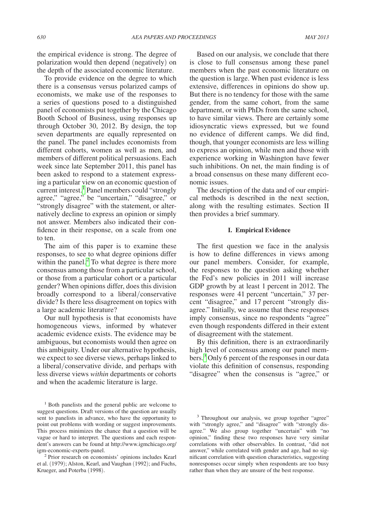the empirical evidence is strong. The degree of polarization would then depend (negatively) on the depth of the associated economic literature.

To provide evidence on the degree to which there is a consensus versus polarized camps of economists, we make use of the responses to a series of questions posed to a distinguished panel of economists put together by the Chicago Booth School of Business, using responses up through October 30, 2012. By design, the top seven departments are equally represented on the panel. The panel includes economists from different cohorts, women as well as men, and members of different political persuasions. Each week since late September 2011, this panel has been asked to respond to a statement expressing a particular view on an economic question of current interest[.1](#page-1-0) Panel members could "strongly agree," "agree," be "uncertain," "disagree," or "strongly disagree" with the statement, or alternatively decline to express an opinion or simply not answer. Members also indicated their confidence in their response, on a scale from one to ten.

The aim of this paper is to examine these responses, to see to what degree opinions differ within the panel. $^{2}$  $^{2}$  $^{2}$  To what degree is there more consensus among those from a particular school, or those from a particular cohort or a particular gender? When opinions differ, does this division broadly correspond to a liberal/conservative divide? Is there less disagreement on topics with a large academic literature?

Our null hypothesis is that economists have homogeneous views, informed by whatever academic evidence exists. The evidence may be ambiguous, but economists would then agree on this ambiguity. Under our alternative hypothesis, we expect to see diverse views, perhaps linked to a liberal/conservative divide, and perhaps with less diverse views *within* departments or cohorts and when the academic literature is large.

<span id="page-1-0"></span><sup>1</sup> Both panelists and the general public are welcome to suggest questions. Draft versions of the question are usually sent to panelists in advance, who have the opportunity to point out problems with wording or suggest improvements. This process minimizes the chance that a question will be vague or hard to interpret. The questions and each respondent's answers can be found at [http://www.igmchicago.org/](http://www.igmchicago.org/igm-economic-experts-panel)

<span id="page-1-1"></span>[igm-economic-experts-panel.](http://www.igmchicago.org/igm) [2](http://www.igmchicago.org/igm) Prior research on economists' opinions includes Kearl et al. (1979); Alston, Kearl, and Vaughan (1992); and Fuchs, Krueger, and Poterba (1998).

Based on our analysis, we conclude that there is close to full consensus among these panel members when the past economic literature on the question is large. When past evidence is less extensive, differences in opinions do show up. But there is no tendency for those with the same gender, from the same cohort, from the same department, or with PhDs from the same school, to have similar views. There are certainly some idiosyncratic views expressed, but we found no evidence of different camps. We did find, though, that younger economists are less willing to express an opinion, while men and those with experience working in Washington have fewer such inhibitions. On net, the main finding is of a broad consensus on these many different economic issues.

The description of the data and of our empirical methods is described in the next section, along with the resulting estimates. Section II then provides a brief summary.

#### **I. Empirical Evidence**

The first question we face in the analysis is how to define differences in views among our panel members. Consider, for example, the responses to the question asking whether the Fed's new policies in 2011 will increase GDP growth by at least 1 percent in 2012. The responses were 41 percent "uncertain," 37 percent "disagree," and 17 percent "strongly disagree." Initially, we assume that these responses imply consensus, since no respondents "agree" even though respondents differed in their extent of disagreement with the statement.

By this definition, there is an extraordinarily high level of consensus among our panel members.<sup>3</sup> Only 6 percent of the responses in our data violate this definition of consensus, responding "disagree" when the consensus is "agree," or

<span id="page-1-2"></span><sup>&</sup>lt;sup>3</sup> Throughout our analysis, we group together "agree" with "strongly agree," and "disagree" with "strongly disagree." We also group together "uncertain" with "no opinion," finding these two responses have very similar correlations with other observables. In contrast, "did not answer," while correlated with gender and age, had no significant correlation with question characteristics, suggesting nonresponses occur simply when respondents are too busy rather than when they are unsure of the best response.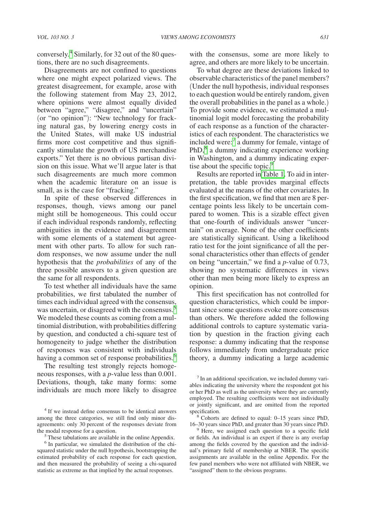conversely.[4](#page-2-0) Similarly, for 32 out of the 80 questions, there are no such disagreements.

Disagreements are not confined to questions where one might expect polarized views. The greatest disagreement, for example, arose with the following statement from May 23, 2012, where opinions were almost equally divided between "agree," "disagree," and "uncertain" (or "no opinion"): "New technology for fracking natural gas, by lowering energy costs in the United States, will make US industrial firms more cost competitive and thus significantly stimulate the growth of US merchandise exports." Yet there is no obvious partisan division on this issue. What we'll argue later is that such disagreements are much more common when the academic literature on an issue is small, as is the case for "fracking."

In spite of these observed differences in responses, though, views among our panel might still be homogeneous. This could occur if each individual responds randomly, reflecting ambiguities in the evidence and disagreement with some elements of a statement but agreement with other parts. To allow for such random responses, we now assume under the null hypothesis that the *probabilities* of any of the three possible answers to a given question are the same for all respondents.

To test whether all individuals have the same probabilities, we first tabulated the number of times each individual agreed with the consensus, was uncertain, or disagreed with the consensus.<sup>[5](#page-2-1)</sup> We modeled these counts as coming from a multinomial distribution, with probabilities differing by question, and conducted a chi-square test of homogeneity to judge whether the distribution of responses was consistent with individuals having a common set of response probabilities.<sup>[6](#page-2-2)</sup>

The resulting test strongly rejects homogeneous responses, with a *p*-value less than 0.001. Deviations, though, take many forms: some individuals are much more likely to disagree with the consensus, some are more likely to agree, and others are more likely to be uncertain.

To what degree are these deviations linked to observable characteristics of the panel members? (Under the null hypothesis, individual responses to each question would be entirely random, given the overall probabilities in the panel as a whole.) To provide some evidence, we estimated a multinomial logit model forecasting the probability of each response as a function of the characteristics of each respondent. The characteristics we included were: $\frac{7}{9}$  a dummy for female, vintage of PhD,<sup>[8](#page-2-4)</sup> a dummy indicating experience working in Washington, and a dummy indicating expertise about the specific topic.<sup>9</sup>

Results are reported in [Table](#page-3-0) 1. To aid in interpretation, the table provides marginal effects evaluated at the means of the other covariates. In the first specification, we find that men are 8 percentage points less likely to be uncertain compared to women. This is a sizable effect given that one-fourth of individuals answer "uncertain" on average. None of the other coefficients are statistically significant. Using a likelihood ratio test for the joint significance of all the personal characteristics other than effects of gender on being "uncertain," we find a *p*-value of 0.73, showing no systematic differences in views other than men being more likely to express an opinion.

This first specification has not controlled for question characteristics, which could be important since some questions evoke more consensus than others. We therefore added the following additional controls to capture systematic variation by question in the fraction giving each response: a dummy indicating that the response follows immediately from undergraduate price theory, a dummy indicating a large academic

<span id="page-2-4"></span>16–30 years since PhD, and greater than 30 years since PhD.<br><sup>9</sup> Here, we assigned each question to a specific field

<span id="page-2-0"></span><sup>4</sup> If we instead define consensus to be identical answers among the three categories, we still find only minor disagreements: only 30 percent of the responses deviate from the modal response for a question. 5 These tabulations are available in the online Appendix.

<span id="page-2-2"></span><span id="page-2-1"></span>

<sup>6</sup> In particular, we simulated the distribution of the chisquared statistic under the null hypothesis, bootstrapping the estimated probability of each response for each question, and then measured the probability of seeing a chi-squared statistic as extreme as that implied by the actual responses.

<span id="page-2-3"></span><sup>&</sup>lt;sup>7</sup> In an additional specification, we included dummy variables indicating the university where the respondent got his or her PhD as well as the university where they are currently employed. The resulting coefficients were not individually or jointly significant, and are omitted from the reported specification.<br><sup>8</sup> Cohorts are defined to equal: 0–15 years since PhD,

<span id="page-2-5"></span>or fields. An individual is an expert if there is any overlap among the fields covered by the question and the individual's primary field of membership at NBER. The specific assignments are available in the online Appendix. For the few panel members who were not affiliated with NBER, we "assigned" them to the obvious programs.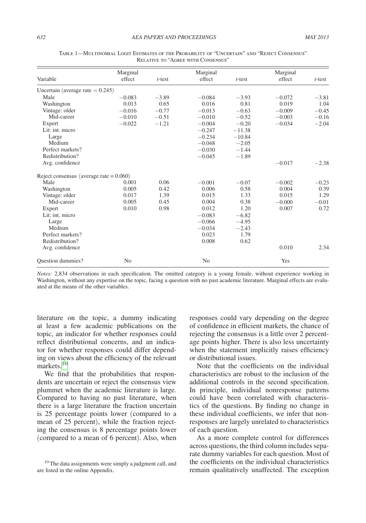<span id="page-3-0"></span>

|                                            | Marginal       |           | Marginal       |           | Marginal |           |
|--------------------------------------------|----------------|-----------|----------------|-----------|----------|-----------|
| Variable                                   | effect         | $t$ -test | effect         | $t$ -test | effect   | $t$ -test |
| Uncertain (average rate $= 0.245$ )        |                |           |                |           |          |           |
| Male                                       | $-0.083$       | $-3.89$   | $-0.084$       | $-3.93$   | $-0.072$ | $-3.81$   |
| Washington                                 | 0.013          | 0.65      | 0.016          | 0.81      | 0.019    | 1.04      |
| Vintage: older                             | $-0.016$       | $-0.77$   | $-0.013$       | $-0.63$   | $-0.009$ | $-0.45$   |
| Mid-career                                 | $-0.010$       | $-0.51$   | $-0.010$       | $-0.52$   | $-0.003$ | $-0.16$   |
| Expert                                     | $-0.022$       | $-1.21$   | $-0.004$       | $-0.20$   | $-0.034$ | $-2.04$   |
| Lit: int. micro                            |                |           | $-0.247$       | $-11.38$  |          |           |
| Large                                      |                |           | $-0.234$       | $-10.84$  |          |           |
| Medium                                     |                |           | $-0.048$       | $-2.05$   |          |           |
| Perfect markets?                           |                |           | $-0.030$       | $-1.44$   |          |           |
| Redistribution?                            |                |           | $-0.045$       | $-1.89$   |          |           |
| Avg. confidence                            |                |           |                |           | $-0.017$ | $-2.38$   |
| Reject consensus (average rate $= 0.060$ ) |                |           |                |           |          |           |
| Male                                       | 0.001          | 0.06      | $-0.001$       | $-0.07$   | $-0.002$ | $-0.23$   |
| Washington                                 | 0.005          | 0.42      | 0.006          | 0.58      | 0.004    | 0.39      |
| Vintage: older                             | 0.017          | 1.39      | 0.015          | 1.33      | 0.015    | 1.29      |
| Mid-career                                 | 0.005          | 0.45      | 0.004          | 0.38      | $-0.000$ | $-0.01$   |
| Expert                                     | 0.010          | 0.98      | 0.012          | 1.20      | 0.007    | 0.72      |
| Lit: int. micro                            |                |           | $-0.083$       | $-6.82$   |          |           |
| Large                                      |                |           | $-0.066$       | $-4.95$   |          |           |
| Medium                                     |                |           | $-0.034$       | $-2.43$   |          |           |
| Perfect markets?                           |                |           | 0.023          | 1.79      |          |           |
| Redistribution?                            |                |           | 0.008          | 0.62      |          |           |
| Avg. confidence                            |                |           |                |           | 0.010    | 2.34      |
| <b>Ouestion dummies?</b>                   | N <sub>0</sub> |           | N <sub>0</sub> |           | Yes      |           |

Table 1—Multinomial Logit Estimates of the Probability of "Uncertain" and "Reject Consensus" Relative to "Agree with Consensus"

*Notes:* 2,834 observations in each specification. The omitted category is a young female, without experience working in Washington, without any expertise on the topic, facing a question with no past academic literature. Marginal effects are evaluated at the means of the other variables.

literature on the topic, a dummy indicating at least a few academic publications on the topic, an indicator for whether responses could reflect distributional concerns, and an indicator for whether responses could differ depending on views about the efficiency of the relevant markets.<sup>10</sup>

We find that the probabilities that respondents are uncertain or reject the consensus view plummet when the academic literature is large. Compared to having no past literature, when there is a large literature the fraction uncertain is 25 percentage points lower (compared to a mean of 25 percent), while the fraction rejecting the consensus is 8 percentage points lower (compared to a mean of 6 percent). Also, when responses could vary depending on the degree of confidence in efficient markets, the chance of rejecting the consensus is a little over 2 percentage points higher. There is also less uncertainty when the statement implicitly raises efficiency or distributional issues.

Note that the coefficients on the individual characteristics are robust to the inclusion of the additional controls in the second specification. In principle, individual nonresponse patterns could have been correlated with characteristics of the questions. By finding no change in these individual coefficients, we infer that nonresponses are largely unrelated to characteristics of each question.

As a more complete control for differences across questions, the third column includes separate dummy variables for each question. Most of the coefficients on the individual characteristics remain qualitatively unaffected. The exception

<span id="page-3-1"></span><sup>&</sup>lt;sup>10</sup> The data assignments were simply a judgment call, and are listed in the online Appendix.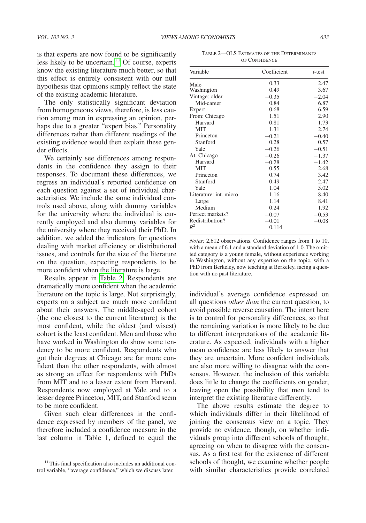is that experts are now found to be significantly less likely to be uncertain.<sup>11</sup> Of course, experts know the existing literature much better, so that this effect is entirely consistent with our null hypothesis that opinions simply reflect the state of the existing academic literature.

The only statistically significant deviation from homogeneous views, therefore, is less caution among men in expressing an opinion, perhaps due to a greater "expert bias." Personality differences rather than different readings of the existing evidence would then explain these gender effects.

We certainly see differences among respondents in the confidence they assign to their responses. To document these differences, we regress an individual's reported confidence on each question against a set of individual characteristics. We include the same individual controls used above, along with dummy variables for the university where the individual is currently employed and also dummy variables for the university where they received their PhD. In addition, we added the indicators for questions dealing with market efficiency or distributional issues, and controls for the size of the literature on the question, expecting respondents to be more confident when the literature is large.

Results appear in Table 2. Respondents are dramatically more confident when the academic literature on the topic is large. Not surprisingly, experts on a subject are much more confident about their answers. The middle-aged cohort (the one closest to the current literature) is the most confident, while the oldest (and wisest) cohort is the least confident. Men and those who have worked in Washington do show some tendency to be more confident. Respondents who got their degrees at Chicago are far more confident than the other respondents, with almost as strong an effect for respondents with PhDs from MIT and to a lesser extent from Harvard. Respondents now employed at Yale and to a lesser degree Princeton, MIT, and Stanford seem to be more confident.

Given such clear differences in the confidence expressed by members of the panel, we therefore included a confidence measure in the last column in Table 1, defined to equal the

| TABLE 2—OLS ESTIMATES OF THE DETERMINANTS |               |  |  |  |
|-------------------------------------------|---------------|--|--|--|
|                                           | OF CONFIDENCE |  |  |  |

| Variable               | Coefficient | $t$ -test |
|------------------------|-------------|-----------|
| Male                   | 0.33        | 2.47      |
| Washington             | 0.49        | 3.67      |
| Vintage: older         | $-0.35$     | $-2.04$   |
| Mid-career             | 0.84        | 6.87      |
| Expert                 | 0.68        | 6.59      |
| From: Chicago          | 1.51        | 2.90      |
| Harvard                | 0.81        | 1.73      |
| <b>MIT</b>             | 1.31        | 2.74      |
| Princeton              | $-0.21$     | $-0.40$   |
| Stanford               | 0.28        | 0.57      |
| Yale                   | $-0.26$     | $-0.51$   |
| At: Chicago            | $-0.26$     | $-1.37$   |
| Harvard                | $-0.28$     | $-1.42$   |
| <b>MIT</b>             | 0.55        | 2.68      |
| Princeton              | 0.74        | 3.42      |
| Stanford               | 0.49        | 2.47      |
| Yale                   | 1.04        | 5.02      |
| Literature: int. micro | 1.16        | 8.40      |
| Large                  | 1.14        | 8.41      |
| Medium                 | 0.24        | 1.92      |
| Perfect markets?       | $-0.07$     | $-0.53$   |
| Redistribution?        | $-0.01$     | $-0.08$   |
| $R^2$                  | 0.114       |           |
|                        |             |           |

*Notes:* 2,612 observations. Confidence ranges from 1 to 10, with a mean of 6.1 and a standard deviation of 1.0. The omitted category is a young female, without experience working in Washington, without any expertise on the topic, with a PhD from Berkeley, now teaching at Berkeley, facing a question with no past literature.

individual's average confidence expressed on all questions *other than* the current question, to avoid possible reverse causation. The intent here is to control for personality differences, so that the remaining variation is more likely to be due to different interpretations of the academic literature. As expected, individuals with a higher mean confidence are less likely to answer that they are uncertain. More confident individuals are also more willing to disagree with the consensus. However, the inclusion of this variable does little to change the coefficients on gender, leaving open the possibility that men tend to interpret the existing literature differently.

The above results estimate the degree to which individuals differ in their likelihood of joining the consensus view on a topic. They provide no evidence, though, on whether individuals group into different schools of thought, agreeing on when to disagree with the consensus. As a first test for the existence of different schools of thought, we examine whether people with similar characteristics provide correlated

<span id="page-4-0"></span><sup>&</sup>lt;sup>11</sup>This final specification also includes an additional control variable, "average confidence," which we discuss later.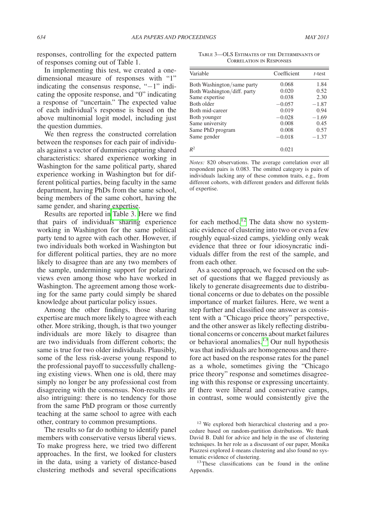responses, controlling for the expected pattern of responses coming out of Table 1.

In implementing this test, we created a onedimensional measure of responses with "1" indicating the consensus response, "−1" indicating the opposite response, and "0" indicating a response of "uncertain." The expected value of each individual's response is based on the above multinomial logit model, including just the question dummies.

We then regress the constructed correlation between the responses for each pair of individuals against a vector of dummies capturing shared characteristics: shared experience working in Washington for the same political party, shared experience working in Washington but for different political parties, being faculty in the same department, having PhDs from the same school, being members of the same cohort, having the same gender, and sharing expertise.

Results are reported in Table 3. Here we find that pairs of individuals sharing experience working in Washington for the same political party tend to agree with each other. However, if two individuals both worked in Washington but for different political parties, they are no more likely to disagree than are any two members of the sample, undermining support for polarized views even among those who have worked in Washington. The agreement among those working for the same party could simply be shared knowledge about particular policy issues.

Among the other findings, those sharing expertise are much more likely to agree with each other. More striking, though, is that two younger individuals are more likely to disagree than are two individuals from different cohorts; the same is true for two older individuals. Plausibly, some of the less risk-averse young respond to the professional payoff to successfully challenging existing views. When one is old, there may simply no longer be any professional cost from disagreeing with the consensus. Non-results are also intriguing: there is no tendency for those from the same PhD program or those currently teaching at the same school to agree with each other, contrary to common presumptions.

The results so far do nothing to identify panel members with conservative versus liberal views. To make progress here, we tried two different approaches. In the first, we looked for clusters in the data, using a variety of distance-based clustering methods and several specifications

Table 3—OLS Estimates of the Determinants of Correlation in Responses

| Variable                    | Coefficient | $t$ -test |
|-----------------------------|-------------|-----------|
| Both Washington/same party  | 0.068       | 1.84      |
| Both Washington/diff. party | 0.020       | 0.52      |
| Same expertise              | 0.038       | 2.30      |
| Both older                  | $-0.057$    | $-1.87$   |
| Both mid-career             | 0.019       | 0.94      |
| Both younger                | $-0.028$    | $-1.69$   |
| Same university             | 0.008       | 0.45      |
| Same PhD program            | 0.008       | 0.57      |
| Same gender                 | $-0.018$    | $-1.37$   |
| $R^2$                       | 0.021       |           |
|                             |             |           |

*Notes:* 820 observations. The average correlation over all respondent pairs is 0.083. The omitted category is pairs of individuals lacking any of these common traits, e.g., from different cohorts, with different genders and different fields of expertise.

for each method.<sup>[12](#page-5-0)</sup> The data show no systematic evidence of clustering into two or even a few roughly equal-sized camps, yielding only weak evidence that three or four idiosyncratic individuals differ from the rest of the sample, and from each other.

As a second approach, we focused on the subset of questions that we flagged previously as likely to generate disagreements due to distributional concerns or due to debates on the possible importance of market failures. Here, we went a step further and classified one answer as consistent with a "Chicago price theory" perspective, and the other answer as likely reflecting distributional concerns or concerns about market failures or behavioral anomalies[.13](#page-5-1) Our null hypothesis was that individuals are homogeneous and therefore act based on the response rates for the panel as a whole, sometimes giving the "Chicago price theory" response and sometimes disagreeing with this response or expressing uncertainty. If there were liberal and conservative camps, in contrast, some would consistently give the

<span id="page-5-0"></span><sup>12</sup> We explored both hierarchical clustering and a procedure based on random-partition distributions. We thank David B. Dahl for advice and help in the use of clustering techniques. In her role as a discussant of our paper, Monika Piazzesi explored *k*-means clustering and also found no sys-

<span id="page-5-1"></span> $13$ These classifications can be found in the online Appendix.